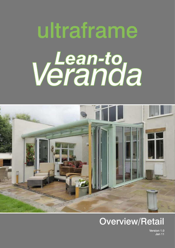# ultraframe **Veranto**



### Overview/Retail

Version 1.0 Jan 11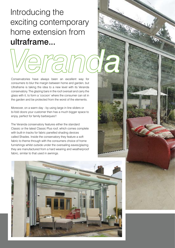## Introducing the exciting contemporary home extension from ultraframe...

Conservatories have always been an excellent way for consumers to blur the margin between home and garden, but Ultraframe is taking the idea to a new level with its Veranda conservatory. The glazing bars in the roof oversail and carry the glass with it, to form a 'cocoon' where the consumer can sit in the garden and be protected from the worst of the elements.

Moreover, on a warm day - by using large in line sliders or bi-fold doors your customer then has a much bigger space to enjoy, perfect for family barbeques!!

The Veranda conservatory features either the standard Classic or the latest Classic Plus roof, which comes complete with built-in tracks for fabric panelled shading devices called Shades. Inside the conservatory they feature a soft fabric to theme through with the consumers choice of home furnishings whilst outside under the oversailing eaves/glazing they are manufactured from a hard wearing and weatherproof fabric, similar to that used in awnings.

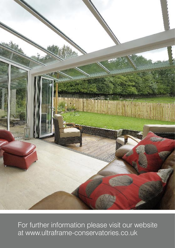

For further information please visit our website at www.ultraframe-conservatories.co.uk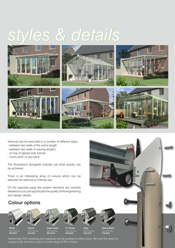# *styles & details*



Veranda can be executed in a number of different ways;

- between two walls of the same length
- between two walls of varying lengths
- on top of glazed side frames
- mono pitch or duo pitch

The illustrations alongside indicate just what exactly can be achieved.

There is an interesting array of colours which can be selected for external or internal use.

On the opposite page the system elements are carefully detailed so you can appreciate the quality of the engineering and design details.

#### Colour options



Paint matching: RAL9003



Paint matching: RAL9001



Paint matching:<br>**BS14C35** 

Fir Green Paint matching: RAL6009

Grey Paint matching: RAL7016

Ebony Black Paint matching:<br>**RAL8022** 

Additionally, PVC claddings and cappings can be supplied in other colour. We have the option to supply a fully aluminium suite in a wide range of RAL colours.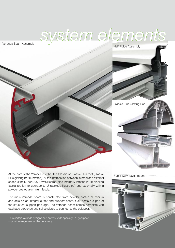

Veranda Beam Assembly





Super Duty Eaves Beam

At the core of the Veranda is either the Classic or Classic Plus roof (Classic Plus glazing bar illustrated). At the intersection between internal and external space is the Super Duty Eaves Beam\*, clad internally with the PFTB planked fascia (option to upgrade to Ultraselect, illustrated) and externally with a powder coated aluminium fascia.

The main Veranda beam is constructed from powder coated aluminium and acts as an integral gutter and support beam. Oak posts are part of the structural support package. The Veranda beam comes complete with gasketed stopends and splice plates to connect to the oak post.

\* On certain Veranda designs and on very wide openings, a 'goal post' support arrangement will be necessary.

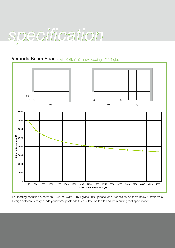

#### **Veranda Beam Span** - with 0.6kn/m2 snow loading 4/16/4 glass



For loading condition other than 0.6kn/m2 (with 4-16-4 glass units) please let our specification team know. Ultraframe's U-Design software simply needs your home postcode to calculate the loads and the resulting roof specification.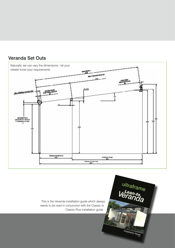

ultraframe

Installation Guide

#### Veranda Set Outs

This is the Veranda installation guide which always needs to be read in conjunction with the Classic or Classic Plus installation guide